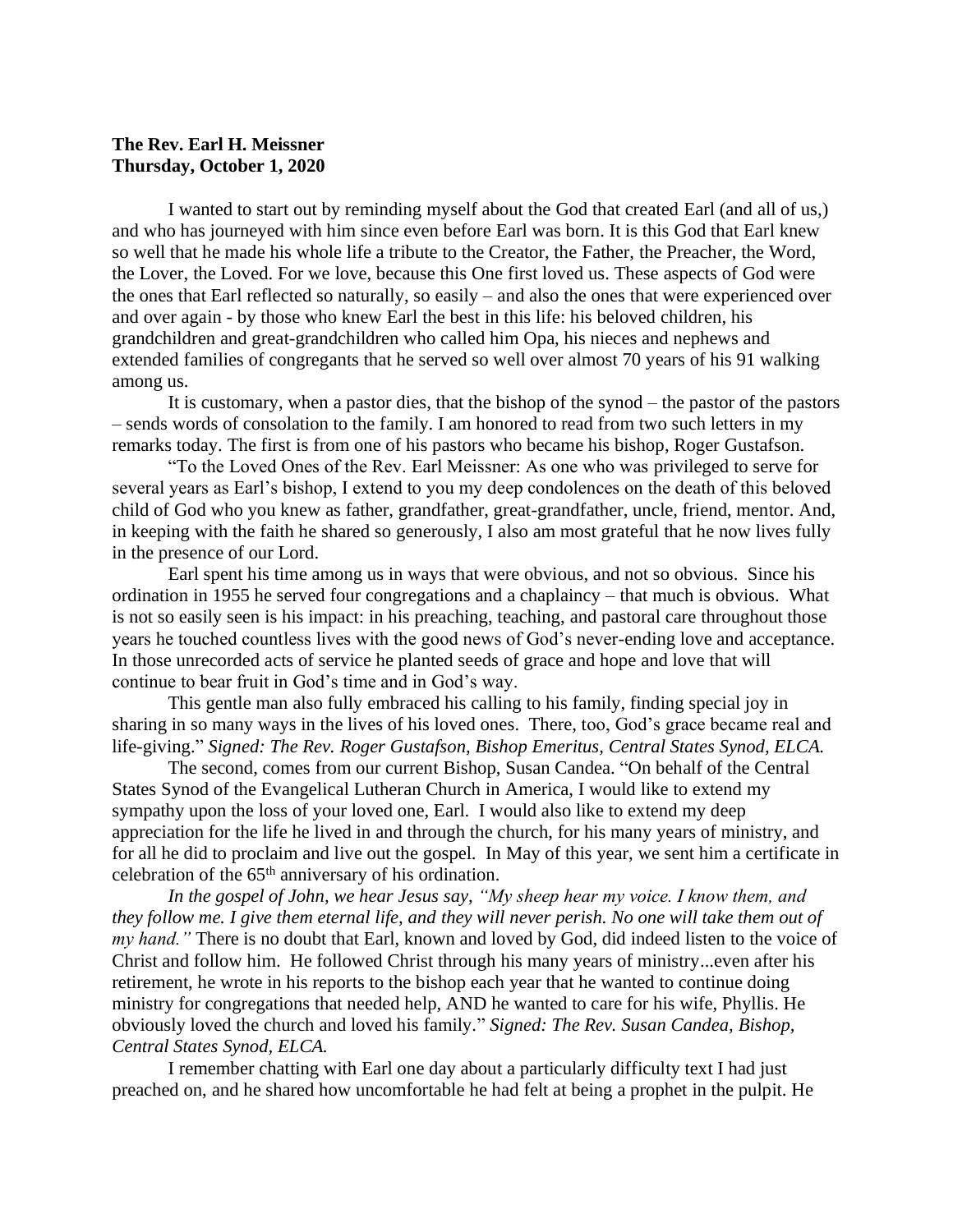## **The Rev. Earl H. Meissner Thursday, October 1, 2020**

I wanted to start out by reminding myself about the God that created Earl (and all of us,) and who has journeyed with him since even before Earl was born. It is this God that Earl knew so well that he made his whole life a tribute to the Creator, the Father, the Preacher, the Word, the Lover, the Loved. For we love, because this One first loved us. These aspects of God were the ones that Earl reflected so naturally, so easily – and also the ones that were experienced over and over again - by those who knew Earl the best in this life: his beloved children, his grandchildren and great-grandchildren who called him Opa, his nieces and nephews and extended families of congregants that he served so well over almost 70 years of his 91 walking among us.

It is customary, when a pastor dies, that the bishop of the synod – the pastor of the pastors – sends words of consolation to the family. I am honored to read from two such letters in my remarks today. The first is from one of his pastors who became his bishop, Roger Gustafson.

"To the Loved Ones of the Rev. Earl Meissner: As one who was privileged to serve for several years as Earl's bishop, I extend to you my deep condolences on the death of this beloved child of God who you knew as father, grandfather, great-grandfather, uncle, friend, mentor. And, in keeping with the faith he shared so generously, I also am most grateful that he now lives fully in the presence of our Lord.

Earl spent his time among us in ways that were obvious, and not so obvious. Since his ordination in 1955 he served four congregations and a chaplaincy – that much is obvious. What is not so easily seen is his impact: in his preaching, teaching, and pastoral care throughout those years he touched countless lives with the good news of God's never-ending love and acceptance. In those unrecorded acts of service he planted seeds of grace and hope and love that will continue to bear fruit in God's time and in God's way.

This gentle man also fully embraced his calling to his family, finding special joy in sharing in so many ways in the lives of his loved ones. There, too, God's grace became real and life-giving." *Signed: The Rev. Roger Gustafson, Bishop Emeritus, Central States Synod, ELCA.*

The second, comes from our current Bishop, Susan Candea. "On behalf of the Central States Synod of the Evangelical Lutheran Church in America, I would like to extend my sympathy upon the loss of your loved one, Earl. I would also like to extend my deep appreciation for the life he lived in and through the church, for his many years of ministry, and for all he did to proclaim and live out the gospel. In May of this year, we sent him a certificate in celebration of the 65th anniversary of his ordination.

*In the gospel of John, we hear Jesus say, "My sheep hear my voice. I know them, and they follow me. I give them eternal life, and they will never perish. No one will take them out of my hand."* There is no doubt that Earl, known and loved by God, did indeed listen to the voice of Christ and follow him. He followed Christ through his many years of ministry...even after his retirement, he wrote in his reports to the bishop each year that he wanted to continue doing ministry for congregations that needed help, AND he wanted to care for his wife, Phyllis. He obviously loved the church and loved his family." *Signed: The Rev. Susan Candea, Bishop, Central States Synod, ELCA.*

I remember chatting with Earl one day about a particularly difficulty text I had just preached on, and he shared how uncomfortable he had felt at being a prophet in the pulpit. He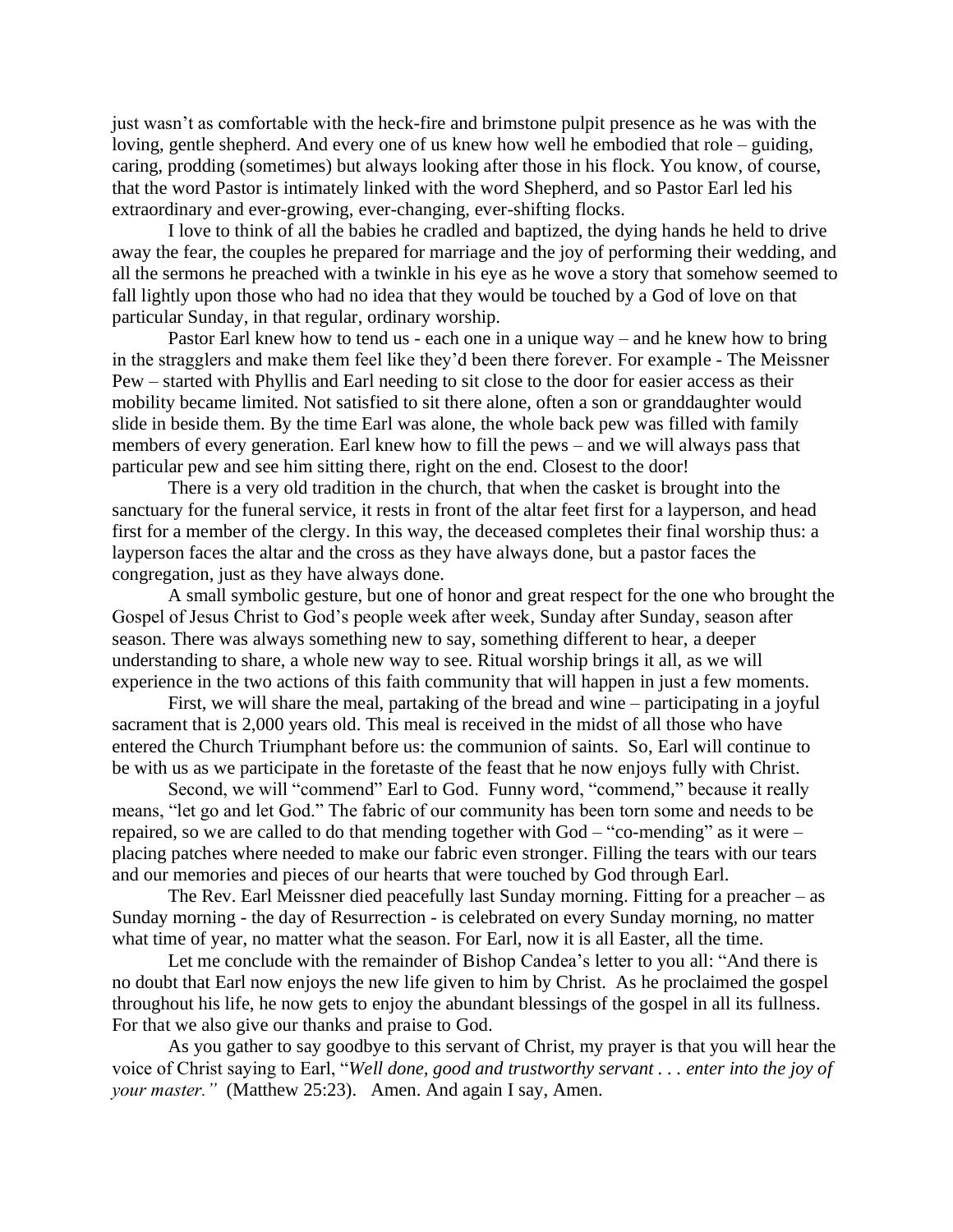just wasn't as comfortable with the heck-fire and brimstone pulpit presence as he was with the loving, gentle shepherd. And every one of us knew how well he embodied that role – guiding, caring, prodding (sometimes) but always looking after those in his flock. You know, of course, that the word Pastor is intimately linked with the word Shepherd, and so Pastor Earl led his extraordinary and ever-growing, ever-changing, ever-shifting flocks.

I love to think of all the babies he cradled and baptized, the dying hands he held to drive away the fear, the couples he prepared for marriage and the joy of performing their wedding, and all the sermons he preached with a twinkle in his eye as he wove a story that somehow seemed to fall lightly upon those who had no idea that they would be touched by a God of love on that particular Sunday, in that regular, ordinary worship.

Pastor Earl knew how to tend us - each one in a unique way – and he knew how to bring in the stragglers and make them feel like they'd been there forever. For example - The Meissner Pew – started with Phyllis and Earl needing to sit close to the door for easier access as their mobility became limited. Not satisfied to sit there alone, often a son or granddaughter would slide in beside them. By the time Earl was alone, the whole back pew was filled with family members of every generation. Earl knew how to fill the pews – and we will always pass that particular pew and see him sitting there, right on the end. Closest to the door!

There is a very old tradition in the church, that when the casket is brought into the sanctuary for the funeral service, it rests in front of the altar feet first for a layperson, and head first for a member of the clergy. In this way, the deceased completes their final worship thus: a layperson faces the altar and the cross as they have always done, but a pastor faces the congregation, just as they have always done.

A small symbolic gesture, but one of honor and great respect for the one who brought the Gospel of Jesus Christ to God's people week after week, Sunday after Sunday, season after season. There was always something new to say, something different to hear, a deeper understanding to share, a whole new way to see. Ritual worship brings it all, as we will experience in the two actions of this faith community that will happen in just a few moments.

First, we will share the meal, partaking of the bread and wine – participating in a joyful sacrament that is 2,000 years old. This meal is received in the midst of all those who have entered the Church Triumphant before us: the communion of saints. So, Earl will continue to be with us as we participate in the foretaste of the feast that he now enjoys fully with Christ.

Second, we will "commend" Earl to God. Funny word, "commend," because it really means, "let go and let God." The fabric of our community has been torn some and needs to be repaired, so we are called to do that mending together with God – "co-mending" as it were – placing patches where needed to make our fabric even stronger. Filling the tears with our tears and our memories and pieces of our hearts that were touched by God through Earl.

The Rev. Earl Meissner died peacefully last Sunday morning. Fitting for a preacher – as Sunday morning - the day of Resurrection - is celebrated on every Sunday morning, no matter what time of year, no matter what the season. For Earl, now it is all Easter, all the time.

Let me conclude with the remainder of Bishop Candea's letter to you all: "And there is no doubt that Earl now enjoys the new life given to him by Christ. As he proclaimed the gospel throughout his life, he now gets to enjoy the abundant blessings of the gospel in all its fullness. For that we also give our thanks and praise to God.

As you gather to say goodbye to this servant of Christ, my prayer is that you will hear the voice of Christ saying to Earl, "*Well done, good and trustworthy servant . . . enter into the joy of your master."* (Matthew 25:23). Amen. And again I say, Amen.